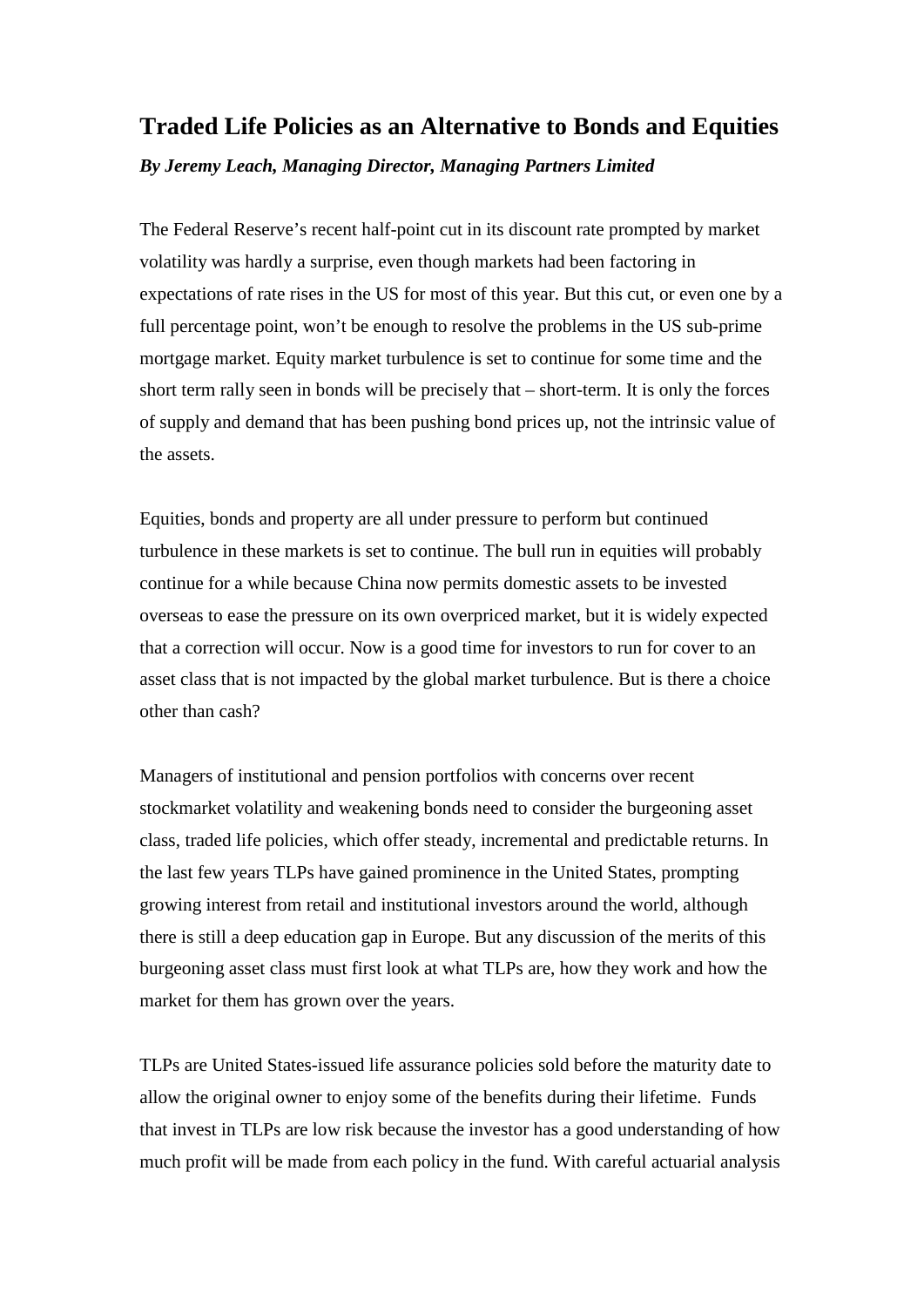## **Traded Life Policies as an Alternative to Bonds and Equities**

*By Jeremy Leach, Managing Director, Managing Partners Limited*

The Federal Reserve's recent half-point cut in its discount rate prompted by market volatility was hardly a surprise, even though markets had been factoring in expectations of rate rises in the US for most of this year. But this cut, or even one by a full percentage point, won't be enough to resolve the problems in the US sub-prime mortgage market. Equity market turbulence is set to continue for some time and the short term rally seen in bonds will be precisely that – short-term. It is only the forces of supply and demand that has been pushing bond prices up, not the intrinsic value of the assets.

Equities, bonds and property are all under pressure to perform but continued turbulence in these markets is set to continue. The bull run in equities will probably continue for a while because China now permits domestic assets to be invested overseas to ease the pressure on its own overpriced market, but it is widely expected that a correction will occur. Now is a good time for investors to run for cover to an asset class that is not impacted by the global market turbulence. But is there a choice other than cash?

Managers of institutional and pension portfolios with concerns over recent stockmarket volatility and weakening bonds need to consider the burgeoning asset class, traded life policies, which offer steady, incremental and predictable returns. In the last few years TLPs have gained prominence in the United States, prompting growing interest from retail and institutional investors around the world, although there is still a deep education gap in Europe. But any discussion of the merits of this burgeoning asset class must first look at what TLPs are, how they work and how the market for them has grown over the years.

TLPs are United States-issued life assurance policies sold before the maturity date to allow the original owner to enjoy some of the benefits during their lifetime. Funds that invest in TLPs are low risk because the investor has a good understanding of how much profit will be made from each policy in the fund. With careful actuarial analysis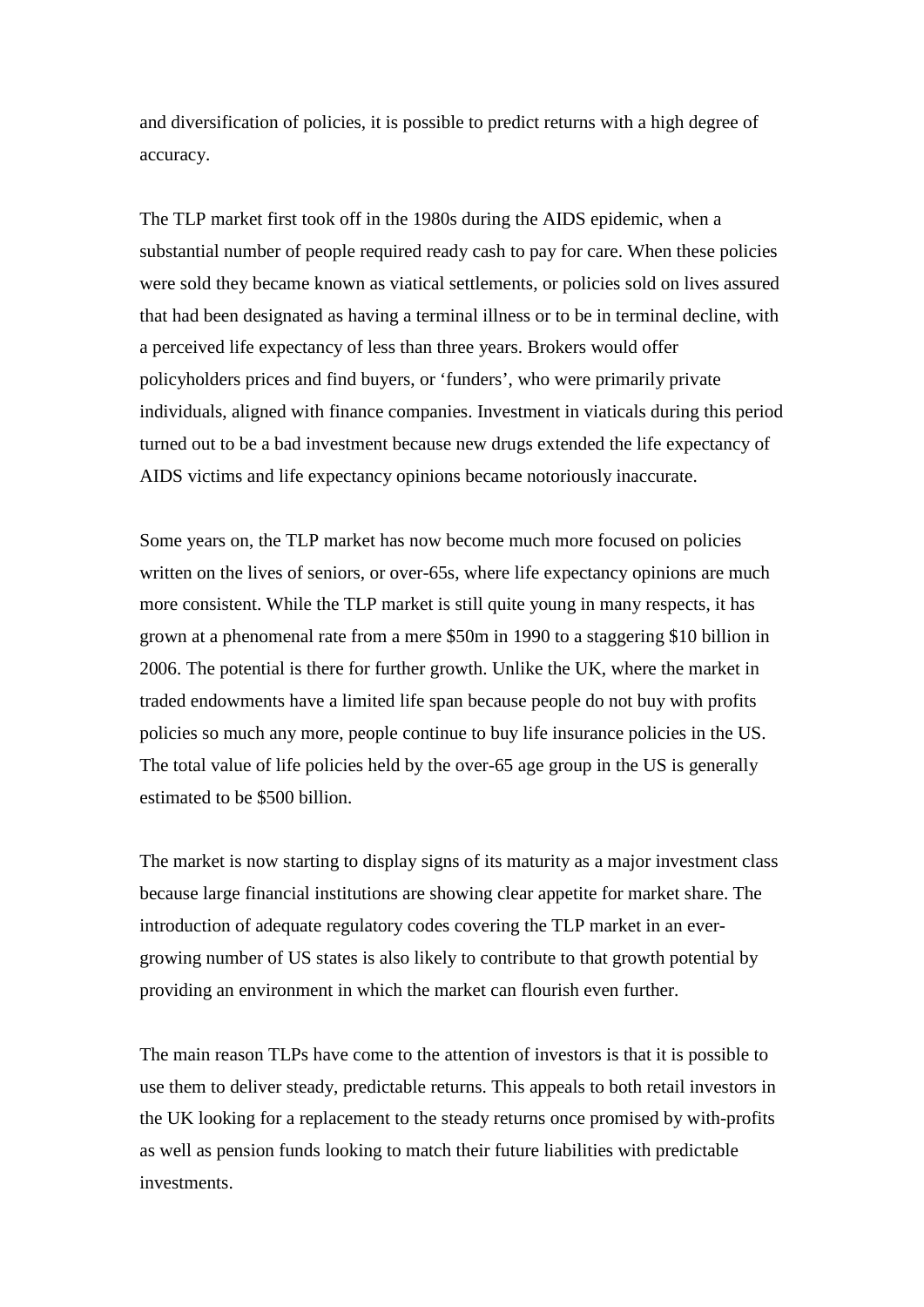and diversification of policies, it is possible to predict returns with a high degree of accuracy.

The TLP market first took off in the 1980s during the AIDS epidemic, when a substantial number of people required ready cash to pay for care. When these policies were sold they became known as viatical settlements, or policies sold on lives assured that had been designated as having a terminal illness or to be in terminal decline, with a perceived life expectancy of less than three years. Brokers would offer policyholders prices and find buyers, or 'funders', who were primarily private individuals, aligned with finance companies. Investment in viaticals during this period turned out to be a bad investment because new drugs extended the life expectancy of AIDS victims and life expectancy opinions became notoriously inaccurate.

Some years on, the TLP market has now become much more focused on policies written on the lives of seniors, or over-65s, where life expectancy opinions are much more consistent. While the TLP market is still quite young in many respects, it has grown at a phenomenal rate from a mere \$50m in 1990 to a staggering \$10 billion in 2006. The potential is there for further growth. Unlike the UK, where the market in traded endowments have a limited life span because people do not buy with profits policies so much any more, people continue to buy life insurance policies in the US. The total value of life policies held by the over-65 age group in the US is generally estimated to be \$500 billion.

The market is now starting to display signs of its maturity as a major investment class because large financial institutions are showing clear appetite for market share. The introduction of adequate regulatory codes covering the TLP market in an evergrowing number of US states is also likely to contribute to that growth potential by providing an environment in which the market can flourish even further.

The main reason TLPs have come to the attention of investors is that it is possible to use them to deliver steady, predictable returns. This appeals to both retail investors in the UK looking for a replacement to the steady returns once promised by with-profits as well as pension funds looking to match their future liabilities with predictable investments.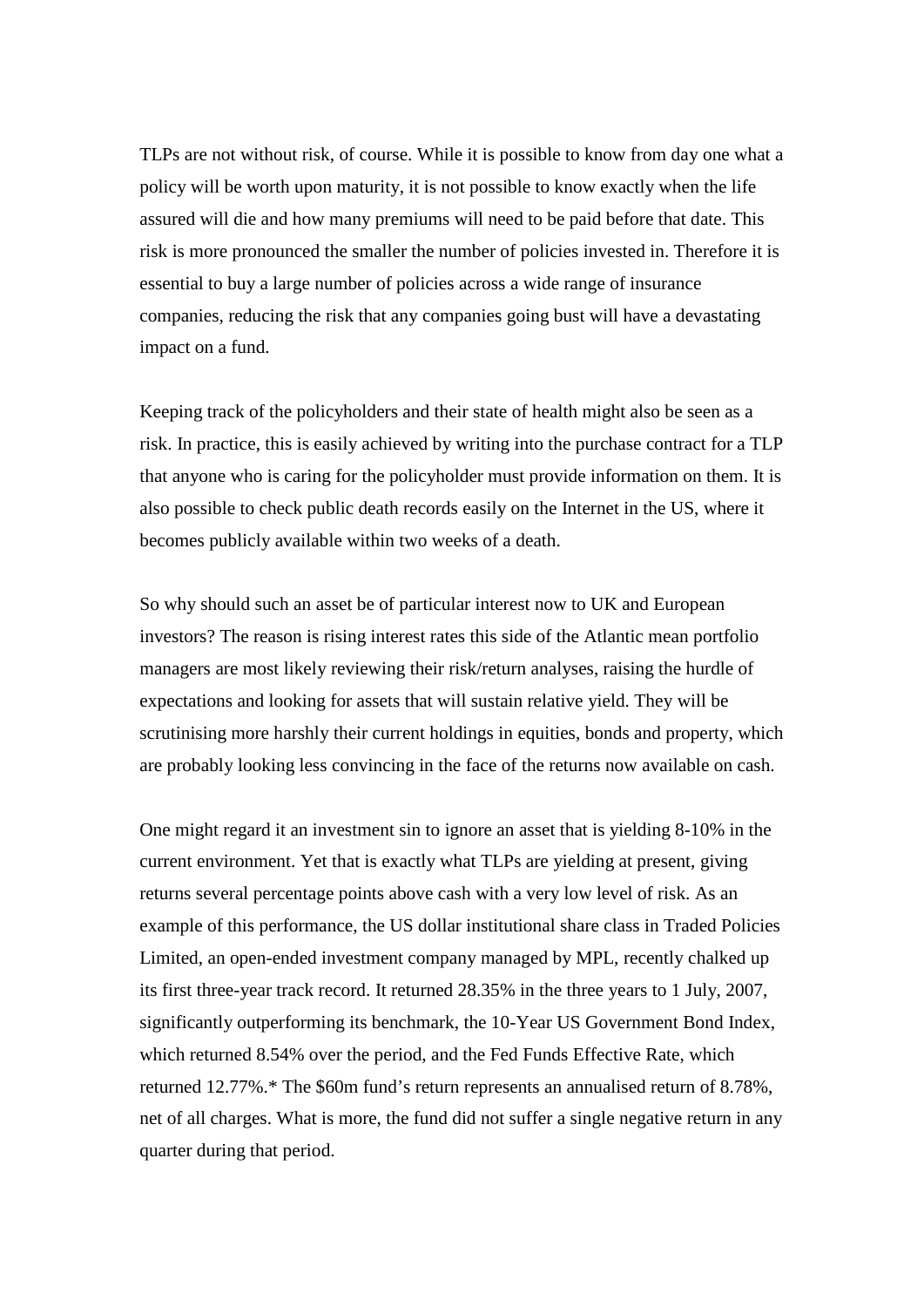TLPs are not without risk, of course. While it is possible to know from day one what a policy will be worth upon maturity, it is not possible to know exactly when the life assured will die and how many premiums will need to be paid before that date. This risk is more pronounced the smaller the number of policies invested in. Therefore it is essential to buy a large number of policies across a wide range of insurance companies, reducing the risk that any companies going bust will have a devastating impact on a fund.

Keeping track of the policyholders and their state of health might also be seen as a risk. In practice, this is easily achieved by writing into the purchase contract for a TLP that anyone who is caring for the policyholder must provide information on them. It is also possible to check public death records easily on the Internet in the US, where it becomes publicly available within two weeks of a death.

So why should such an asset be of particular interest now to UK and European investors? The reason is rising interest rates this side of the Atlantic mean portfolio managers are most likely reviewing their risk/return analyses, raising the hurdle of expectations and looking for assets that will sustain relative yield. They will be scrutinising more harshly their current holdings in equities, bonds and property, which are probably looking less convincing in the face of the returns now available on cash.

One might regard it an investment sin to ignore an asset that is yielding 8-10% in the current environment. Yet that is exactly what TLPs are yielding at present, giving returns several percentage points above cash with a very low level of risk. As an example of this performance, the US dollar institutional share class in Traded Policies Limited, an open-ended investment company managed by MPL, recently chalked up its first three-year track record. It returned 28.35% in the three years to 1 July, 2007, significantly outperforming its benchmark, the 10-Year US Government Bond Index, which returned 8.54% over the period, and the Fed Funds Effective Rate, which returned 12.77%.\* The \$60m fund's return represents an annualised return of 8.78%, net of all charges. What is more, the fund did not suffer a single negative return in any quarter during that period.